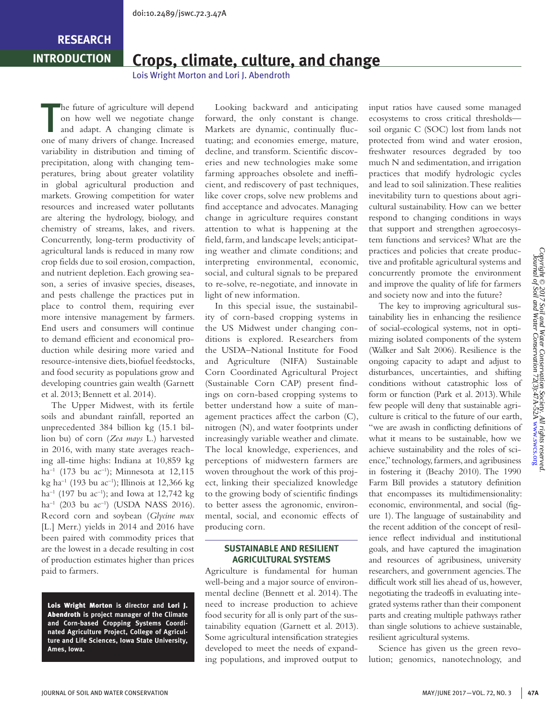# **Crops, climate, culture, and change**

Lois Wright Morton and Lori J. Abendroth

The future of agriculture will depend<br>on how well we negotiate change<br>and adapt. A changing climate is<br>one of many drivers of change. Increased he future of agriculture will depend on how well we negotiate change and adapt. A changing climate is variability in distribution and timing of precipitation, along with changing temperatures, bring about greater volatility in global agricultural production and markets. Growing competition for water resources and increased water pollutants are altering the hydrology, biology, and chemistry of streams, lakes, and rivers. Concurrently, long-term productivity of agricultural lands is reduced in many row crop fields due to soil erosion, compaction, and nutrient depletion. Each growing season, a series of invasive species, diseases, and pests challenge the practices put in place to control them, requiring ever more intensive management by farmers. End users and consumers will continue to demand efficient and economical production while desiring more varied and resource-intensive diets, biofuel feedstocks, and food security as populations grow and developing countries gain wealth (Garnett et al. 2013; Bennett et al. 2014).

The Upper Midwest, with its fertile soils and abundant rainfall, reported an unprecedented 384 billion kg (15.1 billion bu) of corn (*Zea mays* L.) harvested in 2016, with many state averages reaching all-time highs: Indiana at 10,859 kg ha<sup>-1</sup> (173 bu ac<sup>-1</sup>); Minnesota at 12,115 kg ha<sup>-1</sup> (193 bu ac<sup>-1</sup>); Illinois at 12,366 kg ha<sup>-1</sup> (197 bu ac<sup>-1</sup>); and Iowa at 12,742 kg ha<sup>-1</sup> (203 bu ac<sup>-1</sup>) (USDA NASS 2016). Record corn and soybean (*Glycine max*  [L.] Merr.) yields in 2014 and 2016 have been paired with commodity prices that are the lowest in a decade resulting in cost of production estimates higher than prices paid to farmers.

Lois Wright Morton **is director and** Lori J. Abendroth **is project manager of the Climate and Corn-based Cropping Systems Coordinated Agriculture Project, College of Agriculture and Life Sciences, Iowa State University, Ames, Iowa.** 

Looking backward and anticipating forward, the only constant is change. Markets are dynamic, continually fluctuating; and economies emerge, mature, decline, and transform. Scientific discoveries and new technologies make some farming approaches obsolete and inefficient, and rediscovery of past techniques, like cover crops, solve new problems and find acceptance and advocates. Managing change in agriculture requires constant attention to what is happening at the field, farm, and landscape levels; anticipating weather and climate conditions; and interpreting environmental, economic, social, and cultural signals to be prepared to re-solve, re-negotiate, and innovate in light of new information.

In this special issue, the sustainability of corn-based cropping systems in the US Midwest under changing conditions is explored. Researchers from the USDA–National Institute for Food and Agriculture (NIFA) Sustainable Corn Coordinated Agricultural Project (Sustainable Corn CAP) present findings on corn-based cropping systems to better understand how a suite of management practices affect the carbon (C), nitrogen (N), and water footprints under increasingly variable weather and climate. The local knowledge, experiences, and perceptions of midwestern farmers are woven throughout the work of this project, linking their specialized knowledge to the growing body of scientific findings to better assess the agronomic, environmental, social, and economic effects of producing corn.

#### **SUSTAINABLE AND RESILIENT AGRICULTURAL SYSTEMS**

Agriculture is fundamental for human well-being and a major source of environmental decline (Bennett et al. 2014). The need to increase production to achieve food security for all is only part of the sustainability equation (Garnett et al. 2013). Some agricultural intensification strategies developed to meet the needs of expanding populations, and improved output to input ratios have caused some managed ecosystems to cross critical thresholds soil organic C (SOC) lost from lands not protected from wind and water erosion, freshwater resources degraded by too much N and sedimentation, and irrigation practices that modify hydrologic cycles and lead to soil salinization. These realities inevitability turn to questions about agricultural sustainability. How can we better respond to changing conditions in ways that support and strengthen agroecosystem functions and services? What are the practices and policies that create productive and profitable agricultural systems and concurrently promote the environment and improve the quality of life for farmers and society now and into the future?

The key to improving agricultural sustainability lies in enhancing the resilience of social-ecological systems, not in optimizing isolated components of the system (Walker and Salt 2006). Resilience is the ongoing capacity to adapt and adjust to disturbances, uncertainties, and shifting conditions without catastrophic loss of form or function (Park et al. 2013). While few people will deny that sustainable agriculture is critical to the future of our earth, "we are awash in conflicting definitions of what it means to be sustainable, how we achieve sustainability and the roles of science," technology, farmers, and agribusiness in fostering it (Beachy 2010). The 1990 Farm Bill provides a statutory definition that encompasses its multidimensionality: economic, environmental, and social (figure 1). The language of sustainability and the recent addition of the concept of resilience reflect individual and institutional goals, and have captured the imagination and resources of agribusiness, university researchers, and government agencies. The difficult work still lies ahead of us, however, negotiating the tradeoffs in evaluating integrated systems rather than their component parts and creating multiple pathways rather than single solutions to achieve sustainable, resilient agricultural systems.

Science has given us the green revolution; genomics, nanotechnology, and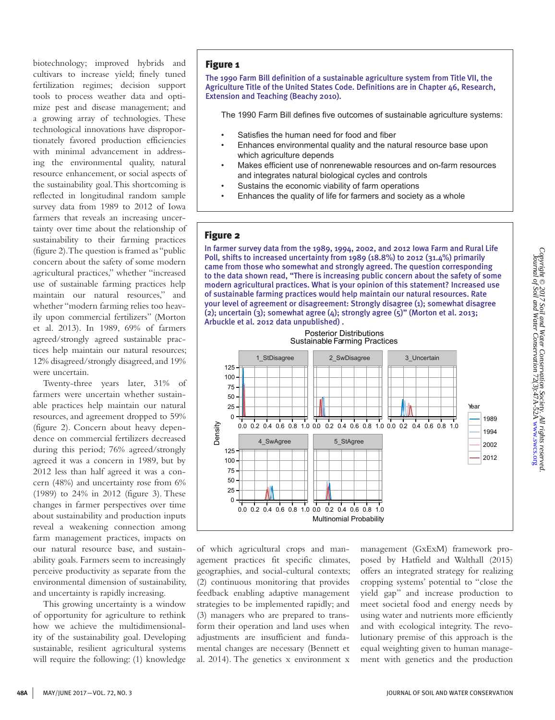biotechnology; improved hybrids and cultivars to increase yield; finely tuned fertilization regimes; decision support tools to process weather data and optimize pest and disease management; and a growing array of technologies. These technological innovations have disproportionately favored production efficiencies with minimal advancement in addressing the environmental quality, natural resource enhancement, or social aspects of the sustainability goal. This shortcoming is reflected in longitudinal random sample survey data from 1989 to 2012 of Iowa farmers that reveals an increasing uncertainty over time about the relationship of sustainability to their farming practices (figure 2). The question is framed as "public concern about the safety of some modern agricultural practices," whether "increased use of sustainable farming practices help maintain our natural resources," and whether "modern farming relies too heavily upon commercial fertilizers" (Morton et al. 2013). In 1989, 69% of farmers agreed/strongly agreed sustainable practices help maintain our natural resources; 12% disagreed/strongly disagreed, and 19% were uncertain.

Twenty-three years later, 31% of farmers were uncertain whether sustainable practices help maintain our natural resources, and agreement dropped to 59% (figure 2). Concern about heavy dependence on commercial fertilizers decreased during this period; 76% agreed/strongly agreed it was a concern in 1989, but by 2012 less than half agreed it was a concern (48%) and uncertainty rose from 6% (1989) to 24% in 2012 (figure 3). These changes in farmer perspectives over time about sustainability and production inputs reveal a weakening connection among farm management practices, impacts on our natural resource base, and sustainability goals. Farmers seem to increasingly perceive productivity as separate from the environmental dimension of sustainability, and uncertainty is rapidly increasing.

This growing uncertainty is a window of opportunity for agriculture to rethink how we achieve the multidimensionality of the sustainability goal. Developing sustainable, resilient agricultural systems will require the following: (1) knowledge

# Figure 1

The 1990 Farm Bill definition of a sustainable agriculture system from Title VII, the Agriculture Title of the United States Code. Definitions are in Chapter 46, Research, Extension and Teaching (Beachy 2010).

The 1990 Farm Bill defines five outcomes of sustainable agriculture systems:

- Satisfies the human need for food and fiber
- Enhances environmental quality and the natural resource base upon which agriculture depends
- Makes efficient use of nonrenewable resources and on-farm resources and integrates natural biological cycles and controls
- Sustains the economic viability of farm operations
- Enhances the quality of life for farmers and society as a whole

## Figure 2

In farmer survey data from the 1989, 1994, 2002, and 2012 Iowa Farm and Rural Life Poll, shifts to increased uncertainty from 1989 (18.8%) to 2012 (31.4%) primarily came from those who somewhat and strongly agreed. The question corresponding to the data shown read, "There is increasing public concern about the safety of some modern agricultural practices. What is your opinion of this statement? Increased use of sustainable farming practices would help maintain our natural resources. Rate your level of agreement or disagreement: Strongly disagree (1); somewhat disagree  $(2)$ ; uncertain  $(3)$ ; somewhat agree  $(4)$ ; strongly agree  $(5)$ " (Morton et al. 2013; Arbuckle et al. 2012 data unpublished) .



of which agricultural crops and management practices fit specific climates, geographies, and social-cultural contexts; (2) continuous monitoring that provides feedback enabling adaptive management strategies to be implemented rapidly; and (3) managers who are prepared to transform their operation and land uses when adjustments are insufficient and fundamental changes are necessary (Bennett et al. 2014). The genetics x environment x

management (GxExM) framework proposed by Hatfield and Walthall (2015) offers an integrated strategy for realizing cropping systems' potential to "close the yield gap" and increase production to meet societal food and energy needs by using water and nutrients more efficiently and with ecological integrity. The revolutionary premise of this approach is the equal weighting given to human management with genetics and the production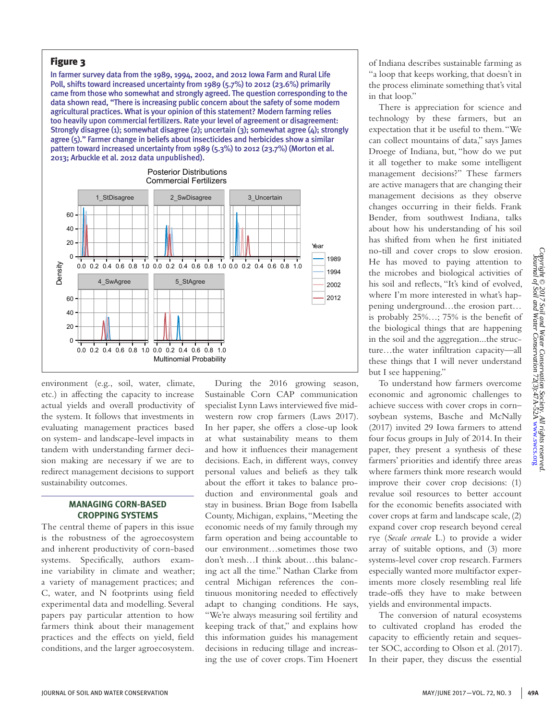### Figure 3

In farmer survey data from the 1989, 1994, 2002, and 2012 Iowa Farm and Rural Life Poll, shifts toward increased uncertainty from 1989 (5.7%) to 2012 (23.6%) primarily came from those who somewhat and strongly agreed. The question corresponding to the data shown read, "There is increasing public concern about the safety of some modern agricultural practices. What is your opinion of this statement? Modern farming relies too heavily upon commercial fertilizers. Rate your level of agreement or disagreement: Strongly disagree (1); somewhat disagree (2); uncertain (3); somewhat agree (4); strongly agree (5)." Farmer change in beliefs about insecticides and herbicides show a similar pattern toward increased uncertainty from 1989 (5.3%) to 2012 (23.7%) (Morton et al. 2013; Arbuckle et al. 2012 data unpublished).



environment (e.g., soil, water, climate, etc.) in affecting the capacity to increase actual yields and overall productivity of the system. It follows that investments in evaluating management practices based on system- and landscape-level impacts in tandem with understanding farmer decision making are necessary if we are to redirect management decisions to support sustainability outcomes.

#### **MANAGING CORN-BASED CROPPING SYSTEMS**

The central theme of papers in this issue is the robustness of the agroecosystem and inherent productivity of corn-based systems. Specifically, authors examine variability in climate and weather; a variety of management practices; and C, water, and N footprints using field experimental data and modelling. Several papers pay particular attention to how farmers think about their management practices and the effects on yield, field conditions, and the larger agroecosystem.

During the 2016 growing season, Sustainable Corn CAP communication specialist Lynn Laws interviewed five midwestern row crop farmers (Laws 2017). In her paper, she offers a close-up look at what sustainability means to them and how it influences their management decisions. Each, in different ways, convey personal values and beliefs as they talk about the effort it takes to balance production and environmental goals and stay in business. Brian Boge from Isabella County, Michigan, explains, "Meeting the economic needs of my family through my farm operation and being accountable to our environment…sometimes those two don't mesh…I think about…this balancing act all the time." Nathan Clarke from central Michigan references the continuous monitoring needed to effectively adapt to changing conditions. He says, "We're always measuring soil fertility and keeping track of that," and explains how this information guides his management decisions in reducing tillage and increasing the use of cover crops. Tim Hoenert of Indiana describes sustainable farming as "a loop that keeps working, that doesn't in the process eliminate something that's vital in that loop."

There is appreciation for science and technology by these farmers, but an expectation that it be useful to them. "We can collect mountains of data," says James Droege of Indiana, but, "how do we put it all together to make some intelligent management decisions?" These farmers are active managers that are changing their management decisions as they observe changes occurring in their fields. Frank Bender, from southwest Indiana, talks about how his understanding of his soil has shifted from when he first initiated no-till and cover crops to slow erosion. He has moved to paying attention to the microbes and biological activities of his soil and reflects, "It's kind of evolved, where I'm more interested in what's happening underground…the erosion part… is probably 25%…; 75% is the benefit of the biological things that are happening in the soil and the aggregation...the structure…the water infiltration capacity—all these things that I will never understand but I see happening."

To understand how farmers overcome economic and agronomic challenges to achieve success with cover crops in corn– soybean systems, Basche and McNally (2017) invited 29 Iowa farmers to attend four focus groups in July of 2014. In their paper, they present a synthesis of these farmers' priorities and identify three areas where farmers think more research would improve their cover crop decisions: (1) revalue soil resources to better account for the economic benefits associated with cover crops at farm and landscape scale, (2) expand cover crop research beyond cereal rye (*Secale cereale* L.) to provide a wider array of suitable options, and (3) more systems-level cover crop research. Farmers especially wanted more multifactor experiments more closely resembling real life trade-offs they have to make between yields and environmental impacts.

The conversion of natural ecosystems to cultivated cropland has eroded the capacity to efficiently retain and sequester SOC, according to Olson et al. (2017). In their paper, they discuss the essential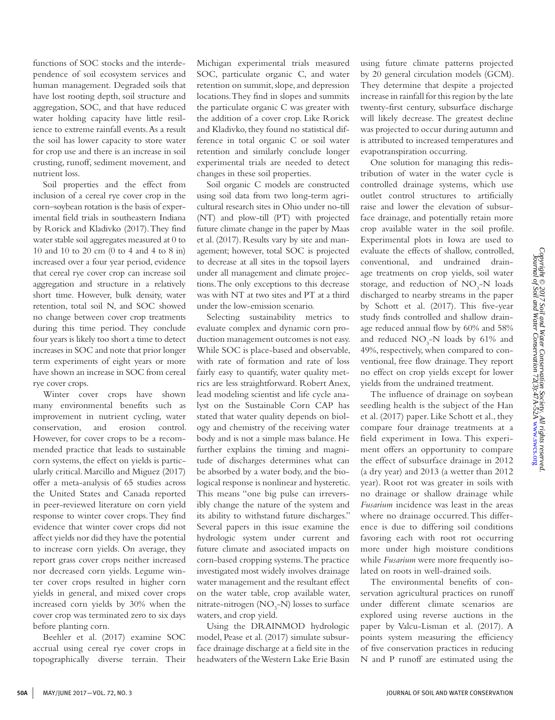functions of SOC stocks and the interdependence of soil ecosystem services and human management. Degraded soils that have lost rooting depth, soil structure and aggregation, SOC, and that have reduced water holding capacity have little resilience to extreme rainfall events. As a result the soil has lower capacity to store water for crop use and there is an increase in soil crusting, runoff, sediment movement, and nutrient loss.

Soil properties and the effect from inclusion of a cereal rye cover crop in the corn–soybean rotation is the basis of experimental field trials in southeastern Indiana by Rorick and Kladivko (2017). They find water stable soil aggregates measured at 0 to 10 and 10 to 20 cm (0 to 4 and 4 to 8 in) increased over a four year period, evidence that cereal rye cover crop can increase soil aggregation and structure in a relatively short time. However, bulk density, water retention, total soil N, and SOC showed no change between cover crop treatments during this time period. They conclude four years is likely too short a time to detect increases in SOC and note that prior longer term experiments of eight years or more have shown an increase in SOC from cereal rye cover crops.

Winter cover crops have shown many environmental benefits such as improvement in nutrient cycling, water conservation, and erosion control. However, for cover crops to be a recommended practice that leads to sustainable corn systems, the effect on yields is particularly critical. Marcillo and Miguez (2017) offer a meta-analysis of 65 studies across the United States and Canada reported in peer-reviewed literature on corn yield response to winter cover crops. They find evidence that winter cover crops did not affect yields nor did they have the potential to increase corn yields. On average, they report grass cover crops neither increased nor decreased corn yields. Legume winter cover crops resulted in higher corn yields in general, and mixed cover crops increased corn yields by 30% when the cover crop was terminated zero to six days before planting corn.

Beehler et al. (2017) examine SOC accrual using cereal rye cover crops in topographically diverse terrain. Their Michigan experimental trials measured SOC, particulate organic C, and water retention on summit, slope, and depression locations. They find in slopes and summits the particulate organic C was greater with the addition of a cover crop. Like Rorick and Kladivko, they found no statistical difference in total organic C or soil water retention and similarly conclude longer experimental trials are needed to detect changes in these soil properties.

Soil organic C models are constructed using soil data from two long-term agricultural research sites in Ohio under no-till (NT) and plow-till (PT) with projected future climate change in the paper by Maas et al. (2017). Results vary by site and management; however, total SOC is projected to decrease at all sites in the topsoil layers under all management and climate projections. The only exceptions to this decrease was with NT at two sites and PT at a third under the low-emission scenario.

Selecting sustainability metrics to evaluate complex and dynamic corn production management outcomes is not easy. While SOC is place-based and observable, with rate of formation and rate of loss fairly easy to quantify, water quality metrics are less straightforward. Robert Anex, lead modeling scientist and life cycle analyst on the Sustainable Corn CAP has stated that water quality depends on biology and chemistry of the receiving water body and is not a simple mass balance. He further explains the timing and magnitude of discharges determines what can be absorbed by a water body, and the biological response is nonlinear and hysteretic. This means "one big pulse can irreversibly change the nature of the system and its ability to withstand future discharges." Several papers in this issue examine the hydrologic system under current and future climate and associated impacts on corn-based cropping systems. The practice investigated most widely involves drainage water management and the resultant effect on the water table, crop available water, nitrate-nitrogen ( $NO<sub>3</sub>-N$ ) losses to surface waters, and crop yield.

Using the DRAINMOD hydrologic model, Pease et al. (2017) simulate subsurface drainage discharge at a field site in the headwaters of the Western Lake Erie Basin using future climate patterns projected by 20 general circulation models (GCM). They determine that despite a projected increase in rainfall for this region by the late twenty-first century, subsurface discharge will likely decrease. The greatest decline was projected to occur during autumn and is attributed to increased temperatures and evapotranspiration occurring.

One solution for managing this redistribution of water in the water cycle is controlled drainage systems, which use outlet control structures to artificially raise and lower the elevation of subsurface drainage, and potentially retain more crop available water in the soil profile. Experimental plots in Iowa are used to evaluate the effects of shallow, controlled, conventional, and undrained drainage treatments on crop yields, soil water storage, and reduction of  $NO<sub>3</sub>–N$  loads discharged to nearby streams in the paper by Schott et al. (2017). This five-year study finds controlled and shallow drainage reduced annual flow by 60% and 58% and reduced  $NO_3$ -N loads by 61% and 49%, respectively, when compared to conventional, free flow drainage. They report no effect on crop yields except for lower yields from the undrained treatment.

The influence of drainage on soybean seedling health is the subject of the Han et al. (2017) paper. Like Schott et al., they compare four drainage treatments at a field experiment in Iowa. This experiment offers an opportunity to compare the effect of subsurface drainage in 2012 (a dry year) and 2013 (a wetter than 2012 year). Root rot was greater in soils with no drainage or shallow drainage while *Fusarium* incidence was least in the areas where no drainage occurred. This difference is due to differing soil conditions favoring each with root rot occurring more under high moisture conditions while *Fusarium* were more frequently isolated on roots in well-drained soils.

The environmental benefits of conservation agricultural practices on runoff under different climate scenarios are explored using reverse auctions in the paper by Valcu-Lisman et al. (2017). A points system measuring the efficiency of five conservation practices in reducing N and P runoff are estimated using the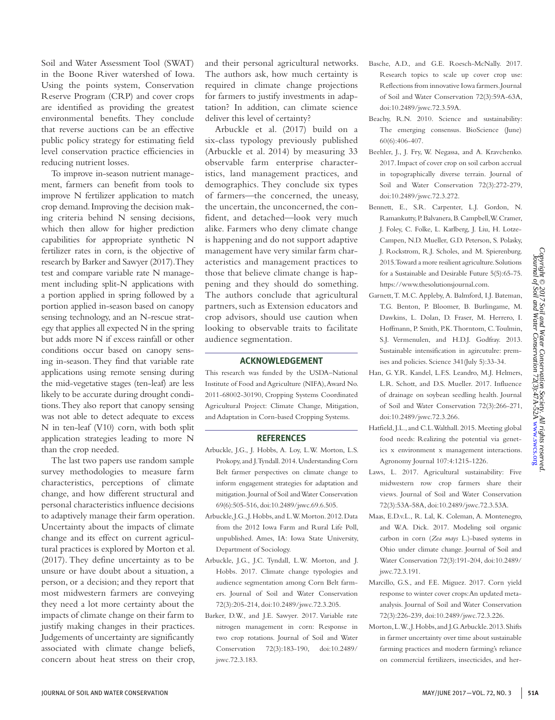Soil and Water Assessment Tool (SWAT) in the Boone River watershed of Iowa. Using the points system, Conservation Reserve Program (CRP) and cover crops are identified as providing the greatest environmental benefits. They conclude that reverse auctions can be an effective public policy strategy for estimating field level conservation practice efficiencies in reducing nutrient losses.

To improve in-season nutrient management, farmers can benefit from tools to improve N fertilizer application to match crop demand. Improving the decision making criteria behind N sensing decisions, which then allow for higher prediction capabilities for appropriate synthetic N fertilizer rates in corn, is the objective of research by Barker and Sawyer (2017). They test and compare variable rate N management including split-N applications with a portion applied in spring followed by a portion applied in-season based on canopy sensing technology, and an N-rescue strategy that applies all expected N in the spring but adds more N if excess rainfall or other conditions occur based on canopy sensing in-season. They find that variable rate applications using remote sensing during the mid-vegetative stages (ten-leaf) are less likely to be accurate during drought conditions. They also report that canopy sensing was not able to detect adequate to excess N in ten-leaf (V10) corn, with both split application strategies leading to more N than the crop needed.

The last two papers use random sample survey methodologies to measure farm characteristics, perceptions of climate change, and how different structural and personal characteristics influence decisions to adaptively manage their farm operation. Uncertainty about the impacts of climate change and its effect on current agricultural practices is explored by Morton et al. (2017). They define uncertainty as to be unsure or have doubt about a situation, a person, or a decision; and they report that most midwestern farmers are conveying they need a lot more certainty about the impacts of climate change on their farm to justify making changes in their practices. Judgements of uncertainty are significantly associated with climate change beliefs, concern about heat stress on their crop, and their personal agricultural networks. The authors ask, how much certainty is required in climate change projections for farmers to justify investments in adaptation? In addition, can climate science deliver this level of certainty?

Arbuckle et al. (2017) build on a six-class typology previously published (Arbuckle et al. 2014) by measuring 33 observable farm enterprise characteristics, land management practices, and demographics. They conclude six types of farmers—the concerned, the uneasy, the uncertain, the unconcerned, the confident, and detached—look very much alike. Farmers who deny climate change is happening and do not support adaptive management have very similar farm characteristics and management practices to those that believe climate change is happening and they should do something. The authors conclude that agricultural partners, such as Extension educators and crop advisors, should use caution when looking to observable traits to facilitate audience segmentation.

#### **ACKNOWLEDGEMENT**

This research was funded by the USDA–National Institute of Food and Agriculture (NIFA), Award No. 2011-68002-30190, Cropping Systems Coordinated Agricultural Project: Climate Change, Mitigation, and Adaptation in Corn-based Cropping Systems.

#### **REFERENCES**

- Arbuckle, J.G., J. Hobbs, A. Loy, L.W. Morton, L.S. Prokopy, and J. Tyndall. 2014. Understanding Corn Belt farmer perspectives on climate change to inform engagement strategies for adaptation and mitigation. Journal of Soil and Water Conservation 69(6):505-516, doi:10.2489/jswc.69.6.505.
- Arbuckle, J.G., J. Hobbs, and L.W. Morton. 2012. Data from the 2012 Iowa Farm and Rural Life Poll, unpublished. Ames, IA: Iowa State University, Department of Sociology.
- Arbuckle, J.G., J.C. Tyndall, L.W. Morton, and J. Hobbs. 2017. Climate change typologies and audience segmentation among Corn Belt farmers. Journal of Soil and Water Conservation 72(3):205-214, doi:10.2489/jswc.72.3.205.
- Barker, D.W., and J.E. Sawyer. 2017. Variable rate nitrogen management in corn: Response in two crop rotations. Journal of Soil and Water Conservation 72(3):183-190, doi:10.2489/ jswc.72.3.183.
- Basche, A.D., and G.E. Roesch-McNally. 2017. Research topics to scale up cover crop use: Reflections from innovative Iowa farmers. Journal of Soil and Water Conservation 72(3):59A-63A, doi:10.2489/jswc.72.3.59A.
- Beachy, R.N. 2010. Science and sustainability: The emerging consensus. BioScience (June) 60(6):406-407.
- Beehler, J., J. Fry, W. Negassa, and A. Kravchenko. 2017. Impact of cover crop on soil carbon accrual in topographically diverse terrain. Journal of Soil and Water Conservation 72(3):272-279, doi:10.2489/jswc.72.3.272.
- Bennett, E., S.R. Carpenter, L.J. Gordon, N. Ramankutty, P. Balvanera, B. Campbell, W. Cramer, J. Foley, C. Folke, L. Karlberg, J. Liu, H. Lotze-Campen, N.D. Mueller, G.D. Peterson, S. Polasky, J. Rockstrom, R.J. Scholes, and M. Spierenburg. 2015. Toward a more resilient agriculture. Solutions for a Sustainable and Desirable Future 5(5):65-75. https://www.thesolutionsjournal.com.
- Garnett, T. M.C. Appleby, A. Balmford, I.J. Bateman, T.G. Benton, P. Bloomer, B. Burlingame, M. Dawkins, L. Dolan, D. Fraser, M. Herrero, I. Hoffmann, P. Smith, P.K. Thorntom, C. Toulmin, S.J. Vermenulen, and H.D.J. Godfray. 2013. Sustainable intensification in agircutulre: premises and policies. Science 341(July 5):33-34.
- Han, G. Y.R. Kandel, L.F.S. Leandro, M.J. Helmers, L.R. Schott, and D.S. Mueller. 2017. Influence of drainage on soybean seedling health. Journal of Soil and Water Conservation 72(3):266-271, doi:10.2489/jswc.72.3.266.
- Hatfield, J.L., and C.L. Walthall. 2015. Meeting global food needs: Realizing the potential via genetics x environment x management interactions. Agronomy Journal 107:4:1215-1226.
- Laws, L. 2017. Agricultural sustainability: Five midwestern row crop farmers share their views. Journal of Soil and Water Conservation 72(3):53A-58A, doi:10.2489/jswc.72.3.53A.
- Maas, E.D.v.L., R. Lal, K. Coleman, A. Montenegro, and W.A. Dick. 2017. Modeling soil organic carbon in corn (*Zea mays* L.)-based systems in Ohio under climate change. Journal of Soil and Water Conservation 72(3):191-204, doi:10.2489/ jswc.72.3.191.
- Marcillo, G.S., and F.E. Miguez. 2017. Corn yield response to winter cover crops: An updated metaanalysis. Journal of Soil and Water Conservation 72(3):226-239, doi:10.2489/jswc.72.3.226.
- Morton, L.W., J. Hobbs, and J.G. Arbuckle. 2013. Shifts in farmer uncertainty over time about sustainable farming practices and modern farming's reliance on commercial fertilizers, insecticides, and her-